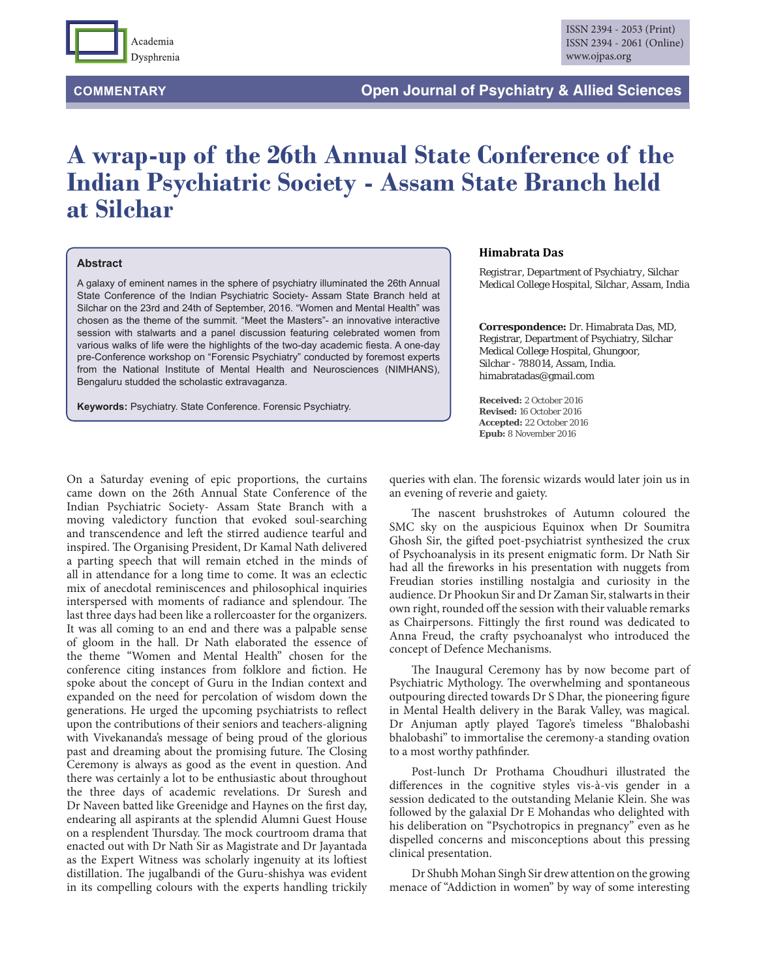

## **A wrap-up of the 26th Annual State Conference of the Indian Psychiatric Society - Assam State Branch held at Silchar**

## **Abstract**

A galaxy of eminent names in the sphere of psychiatry illuminated the 26th Annual State Conference of the Indian Psychiatric Society- Assam State Branch held at Silchar on the 23rd and 24th of September, 2016. "Women and Mental Health" was chosen as the theme of the summit. "Meet the Masters"- an innovative interactive session with stalwarts and a panel discussion featuring celebrated women from various walks of life were the highlights of the two-day academic fiesta. A one-day pre-Conference workshop on "Forensic Psychiatry" conducted by foremost experts from the National Institute of Mental Health and Neurosciences (NIMHANS), Bengaluru studded the scholastic extravaganza.

**Keywords:** Psychiatry. State Conference. Forensic Psychiatry.

## **Himabrata Das**

*Registrar, Department of Psychiatry, Silchar Medical College Hospital, Silchar, Assam, India*

**Correspondence:** Dr. Himabrata Das, MD, Registrar, Department of Psychiatry, Silchar Medical College Hospital, Ghungoor, Silchar - 788014, Assam, India. himabratadas@gmail.com

**Received:** 2 October 2016 **Revised:** 16 October 2016 **Accepted:** 22 October 2016 **Epub:** 8 November 2016

On a Saturday evening of epic proportions, the curtains came down on the 26th Annual State Conference of the Indian Psychiatric Society- Assam State Branch with a moving valedictory function that evoked soul-searching and transcendence and left the stirred audience tearful and inspired. The Organising President, Dr Kamal Nath delivered a parting speech that will remain etched in the minds of all in attendance for a long time to come. It was an eclectic mix of anecdotal reminiscences and philosophical inquiries interspersed with moments of radiance and splendour. The last three days had been like a rollercoaster for the organizers. It was all coming to an end and there was a palpable sense of gloom in the hall. Dr Nath elaborated the essence of the theme "Women and Mental Health" chosen for the conference citing instances from folklore and fiction. He spoke about the concept of Guru in the Indian context and expanded on the need for percolation of wisdom down the generations. He urged the upcoming psychiatrists to reflect upon the contributions of their seniors and teachers-aligning with Vivekananda's message of being proud of the glorious past and dreaming about the promising future. The Closing Ceremony is always as good as the event in question. And there was certainly a lot to be enthusiastic about throughout the three days of academic revelations. Dr Suresh and Dr Naveen batted like Greenidge and Haynes on the first day, endearing all aspirants at the splendid Alumni Guest House on a resplendent Thursday. The mock courtroom drama that enacted out with Dr Nath Sir as Magistrate and Dr Jayantada as the Expert Witness was scholarly ingenuity at its loftiest distillation. The jugalbandi of the Guru-shishya was evident in its compelling colours with the experts handling trickily

queries with elan. The forensic wizards would later join us in an evening of reverie and gaiety.

The nascent brushstrokes of Autumn coloured the SMC sky on the auspicious Equinox when Dr Soumitra Ghosh Sir, the gifted poet-psychiatrist synthesized the crux of Psychoanalysis in its present enigmatic form. Dr Nath Sir had all the fireworks in his presentation with nuggets from Freudian stories instilling nostalgia and curiosity in the audience. Dr Phookun Sir and Dr Zaman Sir, stalwarts in their own right, rounded off the session with their valuable remarks as Chairpersons. Fittingly the first round was dedicated to Anna Freud, the crafty psychoanalyst who introduced the concept of Defence Mechanisms.

The Inaugural Ceremony has by now become part of Psychiatric Mythology. The overwhelming and spontaneous outpouring directed towards Dr S Dhar, the pioneering figure in Mental Health delivery in the Barak Valley, was magical. Dr Anjuman aptly played Tagore's timeless "Bhalobashi bhalobashi" to immortalise the ceremony-a standing ovation to a most worthy pathfinder.

Post-lunch Dr Prothama Choudhuri illustrated the differences in the cognitive styles vis-à-vis gender in a session dedicated to the outstanding Melanie Klein. She was followed by the galaxial Dr E Mohandas who delighted with his deliberation on "Psychotropics in pregnancy" even as he dispelled concerns and misconceptions about this pressing clinical presentation.

Dr Shubh Mohan Singh Sir drew attention on the growing menace of "Addiction in women" by way of some interesting